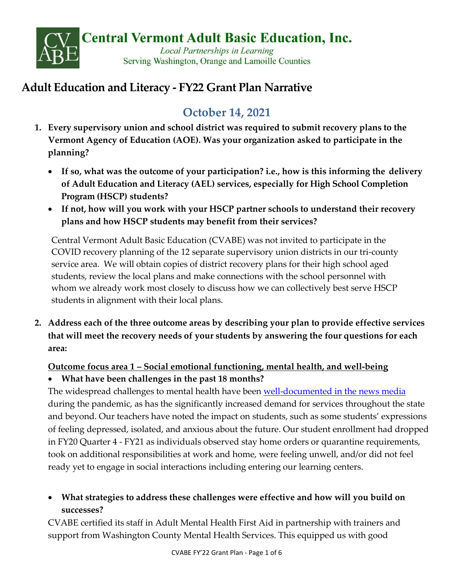

# **Adult Education and Literacy - FY22 Grant Plan Narrative**

# **October 14, 2021**

- **1. Every supervisory union and school district was required to submit recovery plans to the Vermont Agency of Education (AOE). Was your organization asked to participate in the planning?** 
	- **If so, what was the outcome of your participation? i.e., how is this informing the delivery of Adult Education and Literacy (AEL) services, especially for High School Completion Program (HSCP) students?**
	- **If not, how will you work with your HSCP partner schools to understand their recovery plans and how HSCP students may benefit from their services?**

Central Vermont Adult Basic Education (CVABE) was not invited to participate in the COVID recovery planning of the 12 separate supervisory union districts in our tri-county service area. We will obtain copies of district recovery plans for their high school aged students, review the local plans and make connections with the school personnel with whom we already work most closely to discuss how we can collectively best serve HSCP students in alignment with their local plans.

**2. Address each of the three outcome areas by describing your plan to provide effective services that will meet the recovery needs of your students by answering the four questions for each area:** 

## **Outcome focus area 1 – Social emotional functioning, mental health, and well-being**

• **What have been challenges in the past 18 months?**

The widespread challenges to mental health have been [well-documented in the news media](https://www.wcax.com/2021/02/24/demand-for-mental-health-care-surges/) during the pandemic, as has the significantly increased demand for services throughout the state and beyond. Our teachers have noted the impact on students, such as some students' expressions of feeling depressed, isolated, and anxious about the future. Our student enrollment had dropped in FY20 Quarter 4 - FY21 as individuals observed stay home orders or quarantine requirements, took on additional responsibilities at work and home, were feeling unwell, and/or did not feel ready yet to engage in social interactions including entering our learning centers.

# • **What strategies to address these challenges were effective and how will you build on successes?**

CVABE certified its staff in Adult Mental Health First Aid in partnership with trainers and support from Washington County Mental Health Services. This equipped us with good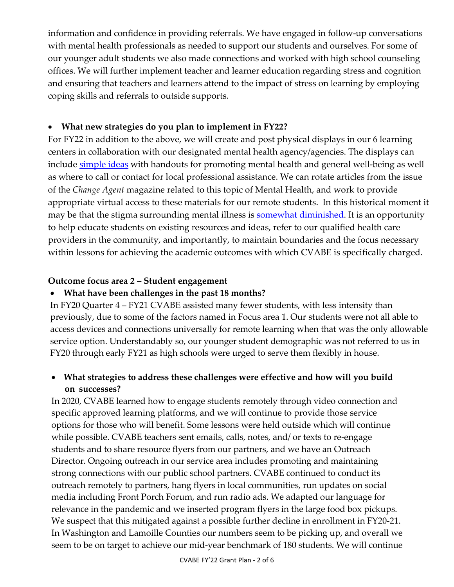information and confidence in providing referrals. We have engaged in follow-up conversations with mental health professionals as needed to support our students and ourselves. For some of our younger adult students we also made connections and worked with high school counseling offices. We will further implement teacher and learner education regarding stress and cognition and ensuring that teachers and learners attend to the impact of stress on learning by employing coping skills and referrals to outside supports.

#### • **What new strategies do you plan to implement in FY22?**

For FY22 in addition to the above, we will create and post physical displays in our 6 learning centers in collaboration with our designated mental health agency/agencies. The displays can include [simple ideas](https://mentalhealth.vermont.gov/coronavirus-covid-19-information-specific-groups/self-care) with handouts for promoting mental health and general well-being as well as where to call or contact for local professional assistance. We can rotate articles from the issue of the *Change Agent* magazine related to this topic of Mental Health, and work to provide appropriate virtual access to these materials for our remote students. In this historical moment it may be that the stigma surrounding mental illness is **somewhat diminished**. It is an opportunity to help educate students on existing resources and ideas, refer to our qualified health care providers in the community, and importantly, to maintain boundaries and the focus necessary within lessons for achieving the academic outcomes with which CVABE is specifically charged.

#### **Outcome focus area 2 – Student engagement**

#### • **What have been challenges in the past 18 months?**

In FY20 Quarter 4 – FY21 CVABE assisted many fewer students, with less intensity than previously, due to some of the factors named in Focus area 1. Our students were not all able to access devices and connections universally for remote learning when that was the only allowable service option. Understandably so, our younger student demographic was not referred to us in FY20 through early FY21 as high schools were urged to serve them flexibly in house.

#### • **What strategies to address these challenges were effective and how will you build on successes?**

In 2020, CVABE learned how to engage students remotely through video connection and specific approved learning platforms, and we will continue to provide those service options for those who will benefit. Some lessons were held outside which will continue while possible. CVABE teachers sent emails, calls, notes, and/ or texts to re-engage students and to share resource flyers from our partners, and we have an Outreach Director. Ongoing outreach in our service area includes promoting and maintaining strong connections with our public school partners. CVABE continued to conduct its outreach remotely to partners, hang flyers in local communities, run updates on social media including Front Porch Forum, and run radio ads. We adapted our language for relevance in the pandemic and we inserted program flyers in the large food box pickups. We suspect that this mitigated against a possible further decline in enrollment in FY20-21. In Washington and Lamoille Counties our numbers seem to be picking up, and overall we seem to be on target to achieve our mid-year benchmark of 180 students. We will continue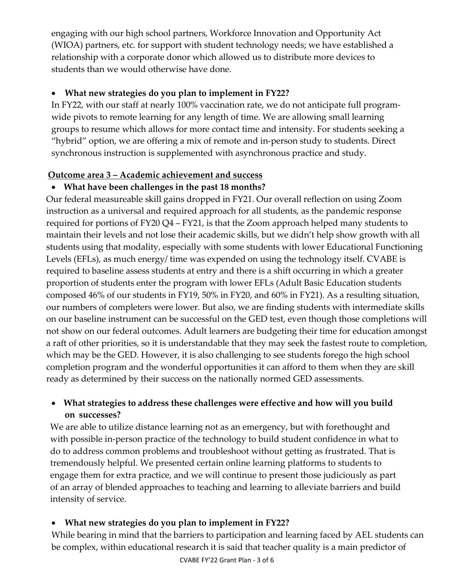engaging with our high school partners, Workforce Innovation and Opportunity Act (WIOA) partners, etc. for support with student technology needs; we have established a relationship with a corporate donor which allowed us to distribute more devices to students than we would otherwise have done.

#### • **What new strategies do you plan to implement in FY22?**

In FY22, with our staff at nearly 100% vaccination rate, we do not anticipate full programwide pivots to remote learning for any length of time. We are allowing small learning groups to resume which allows for more contact time and intensity. For students seeking a "hybrid" option, we are offering a mix of remote and in-person study to students. Direct synchronous instruction is supplemented with asynchronous practice and study.

#### **Outcome area 3 – Academic achievement and success**

#### • **What have been challenges in the past 18 months?**

Our federal measureable skill gains dropped in FY21. Our overall reflection on using Zoom instruction as a universal and required approach for all students, as the pandemic response required for portions of FY20 Q4 – FY21, is that the Zoom approach helped many students to maintain their levels and not lose their academic skills, but we didn't help show growth with all students using that modality, especially with some students with lower Educational Functioning Levels (EFLs), as much energy/ time was expended on using the technology itself. CVABE is required to baseline assess students at entry and there is a shift occurring in which a greater proportion of students enter the program with lower EFLs (Adult Basic Education students composed 46% of our students in FY19, 50% in FY20, and 60% in FY21). As a resulting situation, our numbers of completers were lower. But also, we are finding students with intermediate skills on our baseline instrument can be successful on the GED test, even though those completions will not show on our federal outcomes. Adult learners are budgeting their time for education amongst a raft of other priorities, so it is understandable that they may seek the fastest route to completion, which may be the GED. However, it is also challenging to see students forego the high school completion program and the wonderful opportunities it can afford to them when they are skill ready as determined by their success on the nationally normed GED assessments.

## • **What strategies to address these challenges were effective and how will you build on successes?**

We are able to utilize distance learning not as an emergency, but with forethought and with possible in-person practice of the technology to build student confidence in what to do to address common problems and troubleshoot without getting as frustrated. That is tremendously helpful. We presented certain online learning platforms to students to engage them for extra practice, and we will continue to present those judiciously as part of an array of blended approaches to teaching and learning to alleviate barriers and build intensity of service.

## • **What new strategies do you plan to implement in FY22?**

While bearing in mind that the barriers to participation and learning faced by AEL students can be complex, within educational research it is said that teacher quality is a main predictor of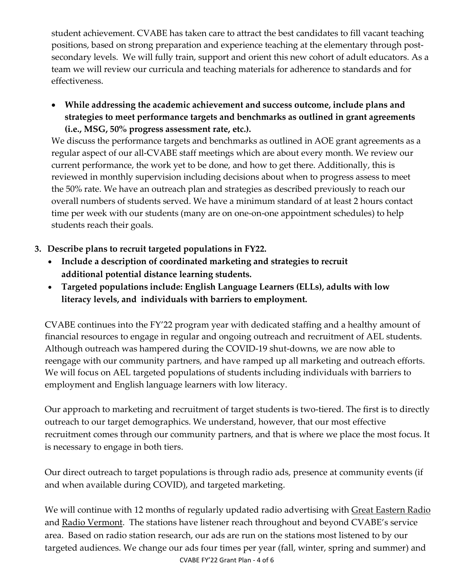student achievement. CVABE has taken care to attract the best candidates to fill vacant teaching positions, based on strong preparation and experience teaching at the elementary through postsecondary levels. We will fully train, support and orient this new cohort of adult educators. As a team we will review our curricula and teaching materials for adherence to standards and for effectiveness.

• **While addressing the academic achievement and success outcome, include plans and strategies to meet performance targets and benchmarks as outlined in grant agreements (i.e., MSG, 50% progress assessment rate, etc.).**

We discuss the performance targets and benchmarks as outlined in AOE grant agreements as a regular aspect of our all-CVABE staff meetings which are about every month. We review our current performance, the work yet to be done, and how to get there. Additionally, this is reviewed in monthly supervision including decisions about when to progress assess to meet the 50% rate. We have an outreach plan and strategies as described previously to reach our overall numbers of students served. We have a minimum standard of at least 2 hours contact time per week with our students (many are on one-on-one appointment schedules) to help students reach their goals.

- **3. Describe plans to recruit targeted populations in FY22.** 
	- **Include a description of coordinated marketing and strategies to recruit additional potential distance learning students.**
	- **Targeted populations include: English Language Learners (ELLs), adults with low literacy levels, and individuals with barriers to employment.**

CVABE continues into the FY'22 program year with dedicated staffing and a healthy amount of financial resources to engage in regular and ongoing outreach and recruitment of AEL students. Although outreach was hampered during the COVID-19 shut-downs, we are now able to reengage with our community partners, and have ramped up all marketing and outreach efforts. We will focus on AEL targeted populations of students including individuals with barriers to employment and English language learners with low literacy.

Our approach to marketing and recruitment of target students is two-tiered. The first is to directly outreach to our target demographics. We understand, however, that our most effective recruitment comes through our community partners, and that is where we place the most focus. It is necessary to engage in both tiers.

Our direct outreach to target populations is through radio ads, presence at community events (if and when available during COVID), and targeted marketing.

We will continue with 12 months of regularly updated radio advertising with Great Eastern Radio and Radio Vermont. The stations have listener reach throughout and beyond CVABE's service area. Based on radio station research, our ads are run on the stations most listened to by our targeted audiences. We change our ads four times per year (fall, winter, spring and summer) and CVABE FY'22 Grant Plan - 4 of 6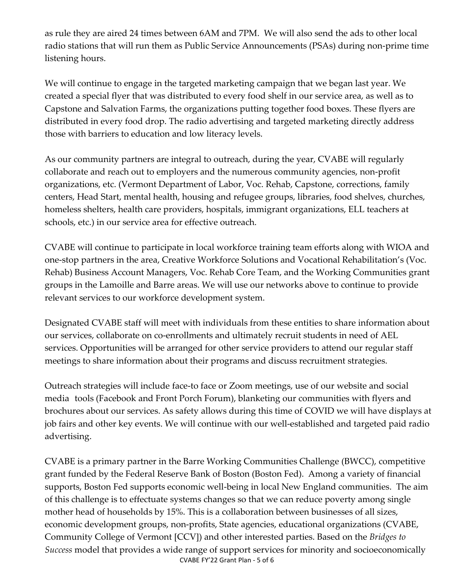as rule they are aired 24 times between 6AM and 7PM. We will also send the ads to other local radio stations that will run them as Public Service Announcements (PSAs) during non-prime time listening hours.

We will continue to engage in the targeted marketing campaign that we began last year. We created a special flyer that was distributed to every food shelf in our service area, as well as to Capstone and Salvation Farms, the organizations putting together food boxes. These flyers are distributed in every food drop. The radio advertising and targeted marketing directly address those with barriers to education and low literacy levels.

As our community partners are integral to outreach, during the year, CVABE will regularly collaborate and reach out to employers and the numerous community agencies, non-profit organizations, etc. (Vermont Department of Labor, Voc. Rehab, Capstone, corrections, family centers, Head Start, mental health, housing and refugee groups, libraries, food shelves, churches, homeless shelters, health care providers, hospitals, immigrant organizations, ELL teachers at schools, etc.) in our service area for effective outreach.

CVABE will continue to participate in local workforce training team efforts along with WIOA and one-stop partners in the area, Creative Workforce Solutions and Vocational Rehabilitation's (Voc. Rehab) Business Account Managers, Voc. Rehab Core Team, and the Working Communities grant groups in the Lamoille and Barre areas. We will use our networks above to continue to provide relevant services to our workforce development system.

Designated CVABE staff will meet with individuals from these entities to share information about our services, collaborate on co-enrollments and ultimately recruit students in need of AEL services. Opportunities will be arranged for other service providers to attend our regular staff meetings to share information about their programs and discuss recruitment strategies.

Outreach strategies will include face-to face or Zoom meetings, use of our website and social media tools (Facebook and Front Porch Forum), blanketing our communities with flyers and brochures about our services. As safety allows during this time of COVID we will have displays at job fairs and other key events. We will continue with our well-established and targeted paid radio advertising.

CVABE is a primary partner in the Barre Working Communities Challenge (BWCC), competitive grant funded by the Federal Reserve Bank of Boston (Boston Fed). Among a variety of financial supports, Boston Fed supports economic well-being in local New England communities. The aim of this challenge is to effectuate systems changes so that we can reduce poverty among single mother head of households by 15%. This is a collaboration between businesses of all sizes, economic development groups, non-profits, State agencies, educational organizations (CVABE, Community College of Vermont [CCV]) and other interested parties. Based on the *Bridges to Success* model that provides a wide range of support services for minority and socioeconomically CVABE FY'22 Grant Plan - 5 of 6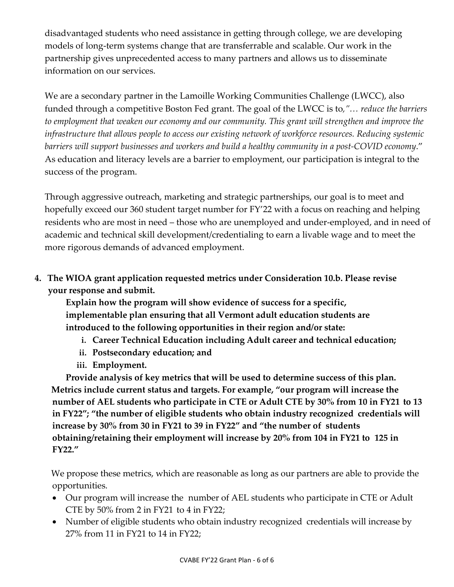disadvantaged students who need assistance in getting through college, we are developing models of long-term systems change that are transferrable and scalable. Our work in the partnership gives unprecedented access to many partners and allows us to disseminate information on our services.

We are a secondary partner in the Lamoille Working Communities Challenge (LWCC), also funded through a competitive Boston Fed grant. The goal of the LWCC is to*,"… reduce the barriers to employment that weaken our economy and our community. This grant will strengthen and improve the infrastructure that allows people to access our existing network of workforce resources. Reducing systemic barriers will support businesses and workers and build a healthy community in a post-COVID economy*." As education and literacy levels are a barrier to employment, our participation is integral to the success of the program.

Through aggressive outreach, marketing and strategic partnerships, our goal is to meet and hopefully exceed our 360 student target number for FY'22 with a focus on reaching and helping residents who are most in need – those who are unemployed and under-employed, and in need of academic and technical skill development/credentialing to earn a livable wage and to meet the more rigorous demands of advanced employment.

**4. The WIOA grant application requested metrics under Consideration 10.b. Please revise your response and submit.**

**Explain how the program will show evidence of success for a specific, implementable plan ensuring that all Vermont adult education students are introduced to the following opportunities in their region and/or state:**

- **i. Career Technical Education including Adult career and technical education;**
- **ii. Postsecondary education; and**
- **iii. Employment.**

**Provide analysis of key metrics that will be used to determine success of this plan. Metrics include current status and targets. For example, "our program will increase the number of AEL students who participate in CTE or Adult CTE by 30% from 10 in FY21 to 13 in FY22"; "the number of eligible students who obtain industry recognized credentials will increase by 30% from 30 in FY21 to 39 in FY22" and "the number of students obtaining/retaining their employment will increase by 20% from 104 in FY21 to 125 in FY22."** 

We propose these metrics, which are reasonable as long as our partners are able to provide the opportunities.

- Our program will increase the number of AEL students who participate in CTE or Adult CTE by 50% from 2 in FY21 to 4 in FY22;
- Number of eligible students who obtain industry recognized credentials will increase by 27% from 11 in FY21 to 14 in FY22;